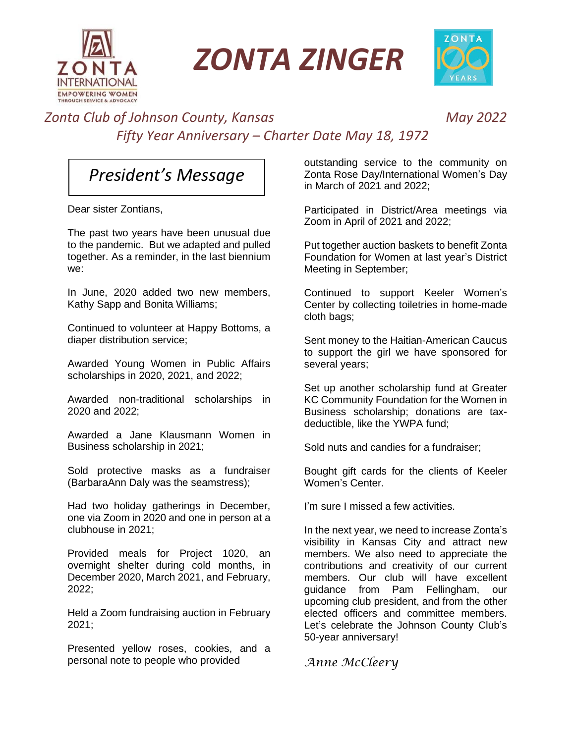

*ZONTA ZINGER*



## *Zonta Club of Johnson County, Kansas May 2022 Fifty Year Anniversary – Charter Date May 18, 1972*

## *President's Message*

Dear sister Zontians,

The past two years have been unusual due to the pandemic. But we adapted and pulled together. As a reminder, in the last biennium we:

In June, 2020 added two new members, Kathy Sapp and Bonita Williams;

Continued to volunteer at Happy Bottoms, a diaper distribution service;

Awarded Young Women in Public Affairs scholarships in 2020, 2021, and 2022;

Awarded non-traditional scholarships in 2020 and 2022;

Awarded a Jane Klausmann Women in Business scholarship in 2021;

Sold protective masks as a fundraiser (BarbaraAnn Daly was the seamstress);

Had two holiday gatherings in December, one via Zoom in 2020 and one in person at a clubhouse in 2021;

Provided meals for Project 1020, an overnight shelter during cold months, in December 2020, March 2021, and February, 2022;

Held a Zoom fundraising auction in February 2021;

Presented yellow roses, cookies, and a personal note to people who provided

outstanding service to the community on Zonta Rose Day/International Women's Day in March of 2021 and 2022;

Participated in District/Area meetings via Zoom in April of 2021 and 2022;

Put together auction baskets to benefit Zonta Foundation for Women at last year's District Meeting in September;

Continued to support Keeler Women's Center by collecting toiletries in home-made cloth bags;

Sent money to the Haitian-American Caucus to support the girl we have sponsored for several years;

Set up another scholarship fund at Greater KC Community Foundation for the Women in Business scholarship; donations are taxdeductible, like the YWPA fund;

Sold nuts and candies for a fundraiser;

Bought gift cards for the clients of Keeler Women's Center.

I'm sure I missed a few activities.

In the next year, we need to increase Zonta's visibility in Kansas City and attract new members. We also need to appreciate the contributions and creativity of our current members. Our club will have excellent guidance from Pam Fellingham, our upcoming club president, and from the other elected officers and committee members. Let's celebrate the Johnson County Club's 50-year anniversary!

*Anne McCleery*